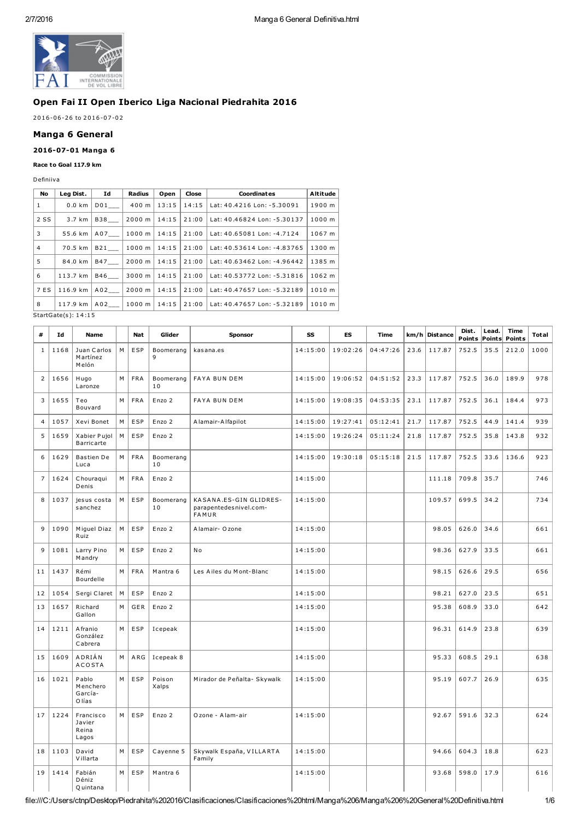

### Open Fai II Open Iberico Liga Nacional Piedrahita 2016

## 2016-06-26 to 2016-07-02

# Manga 6 General

## 2016-07-01 Manga 6

### Race to Goal 117.9 km

Definiiva

| No             | Leg Dist.                                                                                                                                                                                                                                                                                        | Id  | Radius | Open  | Close | Coordinates                 | Altitude |
|----------------|--------------------------------------------------------------------------------------------------------------------------------------------------------------------------------------------------------------------------------------------------------------------------------------------------|-----|--------|-------|-------|-----------------------------|----------|
| 1              | $0.0$ km                                                                                                                                                                                                                                                                                         | D01 | 400 m  | 13:15 | 14:15 | Lat: 40.4216 Lon: -5.30091  | 1900 m   |
| 2 SS           | 3.7 km                                                                                                                                                                                                                                                                                           | B38 | 2000 m | 14:15 | 21:00 | Lat: 40.46824 Lon: -5.30137 | 1000 m   |
| 3              | 55.6 km                                                                                                                                                                                                                                                                                          | A07 | 1000 m | 14:15 | 21:00 | Lat: 40.65081 Lon: -4.7124  | 1067 m   |
| $\overline{4}$ | 70.5 km                                                                                                                                                                                                                                                                                          | B21 | 1000 m | 14:15 | 21:00 | Lat: 40.53614 Lon: -4.83765 | 1300 m   |
| 5              | 84.0 km                                                                                                                                                                                                                                                                                          | B47 | 2000 m | 14:15 | 21:00 | Lat: 40.63462 Lon: -4.96442 | 1385 m   |
| 6              | 113.7 km                                                                                                                                                                                                                                                                                         | B46 | 3000 m | 14:15 | 21:00 | Lat: 40.53772 Lon: -5.31816 | 1062 m   |
| 7 ES           | 116.9 km                                                                                                                                                                                                                                                                                         | A02 | 2000 m | 14:15 | 21:00 | Lat: 40.47657 Lon: -5.32189 | 1010 m   |
| 8              | 117.9 km                                                                                                                                                                                                                                                                                         | A02 | 1000 m | 14:15 | 21:00 | Lat: 40.47657 Lon: -5.32189 | 1010 m   |
|                | $C_{1}$ $\cdots$ $C_{n}$ $\cdots$ $C_{n}$ $\cdots$ $C_{n}$ $\cdots$ $C_{n}$ $\cdots$ $C_{n}$ $\cdots$ $C_{n}$ $\cdots$ $C_{n}$ $\cdots$ $C_{n}$ $\cdots$ $C_{n}$ $\cdots$ $C_{n}$ $\cdots$ $C_{n}$ $\cdots$ $C_{n}$ $\cdots$ $C_{n}$ $\cdots$ $C_{n}$ $\cdots$ $C_{n}$ $\cdots$ $C_{n}$ $\cdots$ |     |        |       |       |                             |          |

StartGate(s ): 14:15

| #              | Id   | <b>Name</b>                           |   | Nat        | Glider          | <b>Sponsor</b>                                            | SS       | ES       | <b>Time</b> |      | km/h Distance | Dist.<br>Points | Lead.<br><b>Points</b> | Time<br>Points | Total |
|----------------|------|---------------------------------------|---|------------|-----------------|-----------------------------------------------------------|----------|----------|-------------|------|---------------|-----------------|------------------------|----------------|-------|
| $\mathbf{1}$   | 1168 | Juan Carlos<br>Martínez<br>Melón      | M | ESP        | Boomerang<br>9  | kasana.es                                                 | 14:15:00 | 19:02:26 | 04:47:26    | 23.6 | 117.87        | 752.5           | 35.5                   | 212.0          | 1000  |
| $\overline{2}$ | 1656 | Hugo<br>Laronze                       | M | <b>FRA</b> | Boomerang<br>10 | <b>FAYA BUN DEM</b>                                       | 14:15:00 | 19:06:52 | 04:51:52    | 23.3 | 117.87        | 752.5           | 36.0                   | 189.9          | 978   |
| 3              | 1655 | Teo<br>Bouvard                        | М | <b>FRA</b> | Enzo 2          | <b>FAYA BUN DEM</b>                                       | 14:15:00 | 19:08:35 | 04:53:35    | 23.1 | 117.87        | 752.5           | 36.1                   | 184.4          | 973   |
| $\overline{4}$ | 1057 | Xevi Bonet                            | M | ESP        | Enzo 2          | Alamair-Alfapilot                                         | 14:15:00 | 19:27:41 | 05:12:41    | 21.7 | 117.87        | 752.5           | 44.9                   | 141.4          | 939   |
| 5              | 1659 | Xabier Pujol<br>Barricarte            | М | ESP        | Enzo 2          |                                                           | 14:15:00 | 19:26:24 | 05:11:24    | 21.8 | 117.87        | 752.5           | 35.8                   | 143.8          | 932   |
| 6              | 1629 | <b>Bastien De</b><br>Luca             | M | <b>FRA</b> | Boomerang<br>10 |                                                           | 14:15:00 | 19:30:18 | 05:15:18    | 21.5 | 117.87        | 752.5           | 33.6                   | 136.6          | 923   |
| $\overline{7}$ | 1624 | Chouraqui<br>Denis                    | M | <b>FRA</b> | Enzo 2          |                                                           | 14:15:00 |          |             |      | 111.18        | 709.8           | 35.7                   |                | 746   |
| 8              | 1037 | jesus costa<br>sanchez                | M | ESP        | Boomerang<br>10 | KASANA.ES-GIN GLIDRES-<br>parapentedesnivel.com-<br>FAMUR | 14:15:00 |          |             |      | 109.57        | 699.5           | 34.2                   |                | 734   |
| 9              | 1090 | Miquel Diaz<br>Ruiz                   | М | ESP        | Enzo 2          | Alamair- O zone                                           | 14:15:00 |          |             |      | 98.05         | 626.0           | 34.6                   |                | 661   |
| 9              | 1081 | Larry Pino<br>Mandry                  | M | ESP        | Enzo 2          | N o                                                       | 14:15:00 |          |             |      | 98.36         | 627.9           | 33.5                   |                | 661   |
| 11             | 1437 | Rémi<br>Bourdelle                     | M | <b>FRA</b> | Mantra 6        | Les Ailes du Mont-Blanc                                   | 14:15:00 |          |             |      | 98.15         | 626.6           | 29.5                   |                | 656   |
| 12             | 1054 | Sergi Claret                          | М | ESP        | Enzo 2          |                                                           | 14:15:00 |          |             |      | 98.21         | 627.0           | 23.5                   |                | 651   |
| 13             | 1657 | Richard<br>Gallon                     | М | GER        | Enzo 2          |                                                           | 14:15:00 |          |             |      | 95.38         | 608.9           | 33.0                   |                | 642   |
| 14             | 1211 | Afranio<br>González<br>Cabrera        | M | <b>ESP</b> | Icepeak         |                                                           | 14:15:00 |          |             |      | 96.31         | 614.9           | 23.8                   |                | 639   |
| 15             | 1609 | ADRIÁN<br><b>ACOSTA</b>               | М | A RG       | Icepeak 8       |                                                           | 14:15:00 |          |             |      | 95.33         | 608.5           | 29.1                   |                | 638   |
| 16             | 1021 | Pablo<br>Menchero<br>García-<br>Olías | M | ESP        | Poison<br>Xalps | Mirador de Peñalta- Skywalk                               | 14:15:00 |          |             |      | 95.19         | 607.7           | 26.9                   |                | 635   |
| 17             | 1224 | Francisco<br>Javier<br>Reina<br>Lagos | M | ESP        | Enzo 2          | Ozone - Alam-air                                          | 14:15:00 |          |             |      | 92.67         | 591.6           | 32.3                   |                | 624   |
| 18             | 1103 | David<br>Villarta                     | M | <b>ESP</b> | Cayenne 5       | Skywalk España, VILLARTA<br>Family                        | 14:15:00 |          |             |      | 94.66         | 604.3           | 18.8                   |                | 623   |
| 19             | 1414 | Fabián<br>Déniz<br>Q uintana          | M | <b>ESP</b> | Mantra 6        |                                                           | 14:15:00 |          |             |      | 93.68         | 598.0           | 17.9                   |                | 616   |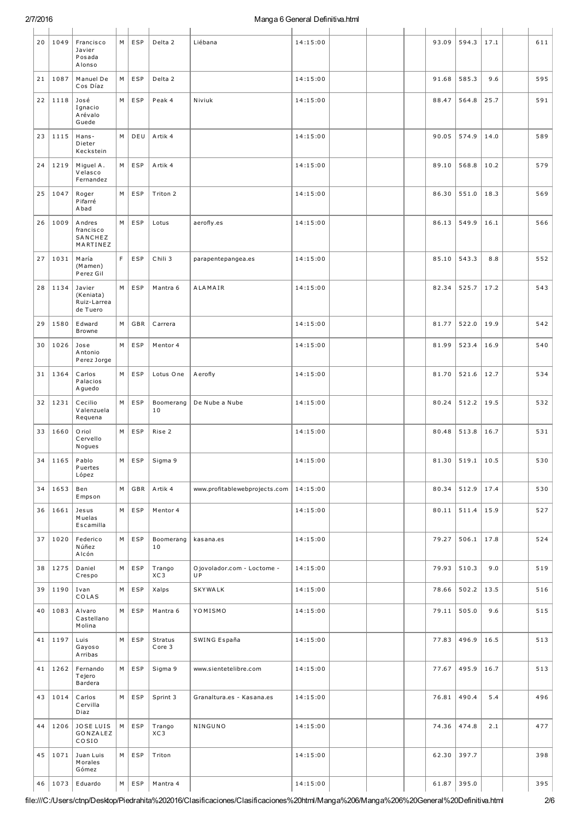## Manga 6 General Definitiva.html

| 20 | 1049 | Francisco<br>Javier<br>Posada<br>Alonso        | M  | ESP        | Delta 2           | Liébana                           | 14:15:00 |  | 93.09 | 594.3 | 17.1 | 611 |
|----|------|------------------------------------------------|----|------------|-------------------|-----------------------------------|----------|--|-------|-------|------|-----|
| 21 | 1087 | Manuel De<br>Cos Díaz                          | М  | ESP        | Delta 2           |                                   | 14:15:00 |  | 91.68 | 585.3 | 9.6  | 595 |
| 22 | 1118 | José<br>Ignacio<br>Arévalo<br>Guede            | M  | ESP        | Peak 4            | Niviuk                            | 14:15:00 |  | 88.47 | 564.8 | 25.7 | 591 |
| 23 | 1115 | Hans-<br>Dieter<br>Keckstein                   | M  | DEU        | Artik 4           |                                   | 14:15:00 |  | 90.05 | 574.9 | 14.0 | 589 |
| 24 | 1219 | Miguel A.<br>Velasco<br>Fernandez              | M  | ESP        | Artik 4           |                                   | 14:15:00 |  | 89.10 | 568.8 | 10.2 | 579 |
| 25 | 1047 | Roger<br>Pifarré<br>A bad                      | M  | ESP        | Triton 2          |                                   | 14:15:00 |  | 86.30 | 551.0 | 18.3 | 569 |
| 26 | 1009 | Andres<br>francisco<br>SANCHEZ<br>MARTINEZ     | М  | ESP        | Lotus             | aerofly.es                        | 14:15:00 |  | 86.13 | 549.9 | 16.1 | 566 |
| 27 | 1031 | María<br>(Mamen)<br>Perez Gil                  | F. | ESP        | Chili 3           | parapentepangea.es                | 14:15:00 |  | 85.10 | 543.3 | 8.8  | 552 |
| 28 | 1134 | Javier<br>(Keniata)<br>Ruiz-Larrea<br>de Tuero | M  | ESP        | Mantra 6          | ALAMAIR                           | 14:15:00 |  | 82.34 | 525.7 | 17.2 | 543 |
| 29 | 1580 | Edward<br><b>Browne</b>                        | М  | GBR        | Carrera           |                                   | 14:15:00 |  | 81.77 | 522.0 | 19.9 | 542 |
| 30 | 1026 | Jose<br>Antonio<br>Perez Jorge                 | M  | ESP        | Mentor 4          |                                   | 14:15:00 |  | 81.99 | 523.4 | 16.9 | 540 |
| 31 | 1364 | Carlos<br>Palacios<br>A guedo                  | М  | ESP        | Lotus One         | A erofly                          | 14:15:00 |  | 81.70 | 521.6 | 12.7 | 534 |
| 32 | 1231 | Cecilio<br>Valenzuela<br>Requena               | M  | ESP        | Boomerang<br>10   | De Nube a Nube                    | 14:15:00 |  | 80.24 | 512.2 | 19.5 | 532 |
| 33 | 1660 | O riol<br>Cervello<br>Nogues                   | M  | ESP        | Rise 2            |                                   | 14:15:00 |  | 80.48 | 513.8 | 16.7 | 531 |
| 34 | 1165 | Pablo<br>Puertes<br>López                      | M  | ESP        | Sigma 9           |                                   | 14:15:00 |  | 81.30 | 519.1 | 10.5 | 530 |
| 34 | 1653 | Ben<br>Empson                                  | M  | GBR        | Artik 4           | www.profitablewebprojects.com     | 14:15:00 |  | 80.34 | 512.9 | 17.4 | 530 |
| 36 | 1661 | Jesus<br>Muelas<br>Escamilla                   | M  | ESP        | Mentor 4          |                                   | 14:15:00 |  | 80.11 | 511.4 | 15.9 | 527 |
| 37 | 1020 | Federico<br>Núñez<br>Alcón                     | M  | ESP        | Boomerang<br>10   | kasana.es                         | 14:15:00 |  | 79.27 | 506.1 | 17.8 | 524 |
| 38 | 1275 | Daniel<br>Crespo                               | M  | ESP        | Trango<br>XC3     | O jovolador.com - Loctome -<br>UP | 14:15:00 |  | 79.93 | 510.3 | 9.0  | 519 |
| 39 | 1190 | Ivan<br>COLAS                                  | M  | ESP        | Xalps             | SKYWALK                           | 14:15:00 |  | 78.66 | 502.2 | 13.5 | 516 |
| 40 | 1083 | Alvaro<br>Castellano<br>Molina                 | M  | ESP        | Mantra 6          | YOMISMO                           | 14:15:00 |  | 79.11 | 505.0 | 9.6  | 515 |
| 41 | 1197 | Luis<br>Gayoso<br><b>Arribas</b>               | М  | ESP        | Stratus<br>Core 3 | SWING España                      | 14:15:00 |  | 77.83 | 496.9 | 16.5 | 513 |
| 41 | 1262 | Fernando<br>Tejero<br>Bardera                  | M  | ESP        | Sigma 9           | www.sientetelibre.com             | 14:15:00 |  | 77.67 | 495.9 | 16.7 | 513 |
| 43 | 1014 | Carlos<br>Cervilla<br>Diaz                     | M  | ESP        | Sprint 3          | Granaltura.es - Kasana.es         | 14:15:00 |  | 76.81 | 490.4 | 5.4  | 496 |
| 44 | 1206 | JOSE LUIS<br>GONZALEZ<br>COSIO                 | M  | <b>ESP</b> | Trango<br>XC3     | NINGUNO                           | 14:15:00 |  | 74.36 | 474.8 | 2.1  | 477 |
| 45 | 1071 | Juan Luis<br>Morales<br>Gómez                  | M  | ESP        | Triton            |                                   | 14:15:00 |  | 62.30 | 397.7 |      | 398 |
| 46 | 1073 | Eduardo                                        | M  | ESP        | Mantra 4          |                                   | 14:15:00 |  | 61.87 | 395.0 |      | 395 |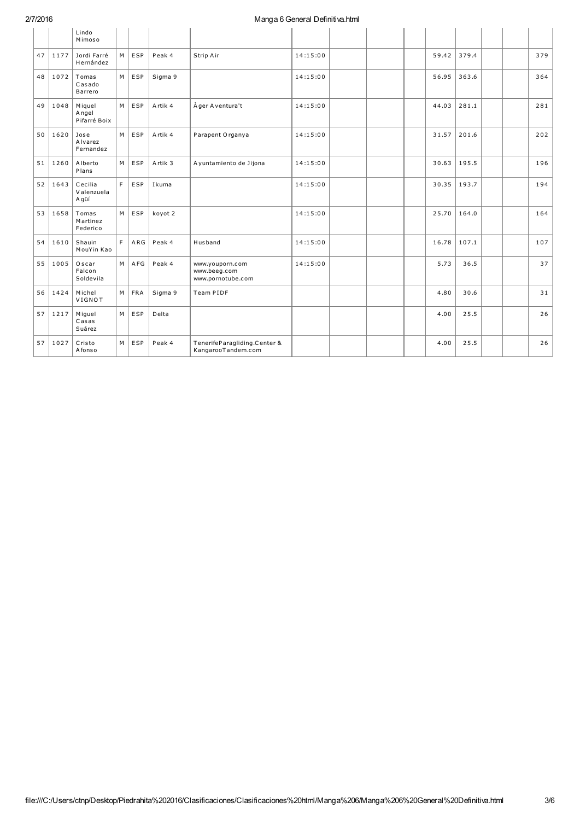## 2/7/2016

# Manga 6 General Definitiva.html

|    |      | Lindo<br>Mimoso                 |    |     |         |                                                      |          |  |       |       |  |     |
|----|------|---------------------------------|----|-----|---------|------------------------------------------------------|----------|--|-------|-------|--|-----|
| 47 | 1177 | Jordi Farré<br>Hernández        | M  | ESP | Peak 4  | Strip Air                                            | 14:15:00 |  | 59.42 | 379.4 |  | 379 |
| 48 | 1072 | Tomas<br>Casado<br>Barrero      | M  | ESP | Sigma 9 |                                                      | 14:15:00 |  | 56.95 | 363.6 |  | 364 |
| 49 | 1048 | Miguel<br>Angel<br>Pifarré Boix | M  | ESP | Artik 4 | À ger A ventura't                                    | 14:15:00 |  | 44.03 | 281.1 |  | 281 |
| 50 | 1620 | Jose<br>Alvarez<br>Fernandez    | M  | ESP | Artik 4 | Parapent Organya                                     | 14:15:00 |  | 31.57 | 201.6 |  | 202 |
| 51 | 1260 | Alberto<br>Plans                | M  | ESP | Artik 3 | A yuntamiento de Jijona                              | 14:15:00 |  | 30.63 | 195.5 |  | 196 |
| 52 | 1643 | Cecilia<br>Valenzuela<br>Agüí   | F  | ESP | Ikuma   |                                                      | 14:15:00 |  | 30.35 | 193.7 |  | 194 |
| 53 | 1658 | Tomas<br>Martinez<br>Federico   | M  | ESP | koyot 2 |                                                      | 14:15:00 |  | 25.70 | 164.0 |  | 164 |
| 54 | 1610 | Shauin<br>MouYin Kao            | F. | ARG | Peak 4  | Husband                                              | 14:15:00 |  | 16.78 | 107.1 |  | 107 |
| 55 | 1005 | Oscar<br>Falcon<br>Soldevila    | M  | AFG | Peak 4  | www.youporn.com<br>www.beeg.com<br>www.pornotube.com | 14:15:00 |  | 5.73  | 36.5  |  | 37  |
| 56 | 1424 | Michel<br>VIGNOT                | M  | FRA | Sigma 9 | Team PIDF                                            |          |  | 4.80  | 30.6  |  | 31  |
| 57 | 1217 | Miguel<br>Casas<br>Suárez       | M  | ESP | Delta   |                                                      |          |  | 4.00  | 25.5  |  | 26  |
| 57 | 1027 | Cristo<br>Afonso                | M  | ESP | Peak 4  | TenerifeParagliding.Center &<br>KangarooTandem.com   |          |  | 4.00  | 25.5  |  | 26  |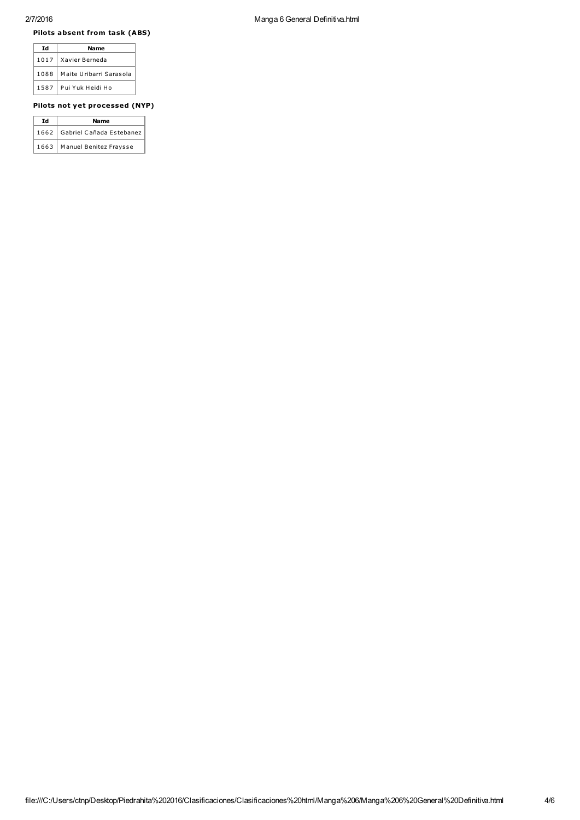#### Pilots absent from task (ABS)

| Td   | Name                    |
|------|-------------------------|
| 1017 | Xavier Berneda          |
| 1088 | Maite Uribarri Sarasola |
| 1587 | Pui Yuk Heidi Ho        |

### Pilots not yet processed (NYP)

| Td   | Name                            |
|------|---------------------------------|
|      | 1662   Gabriel Cañada Estebanez |
| 1663 | Manuel Benitez Fraysse          |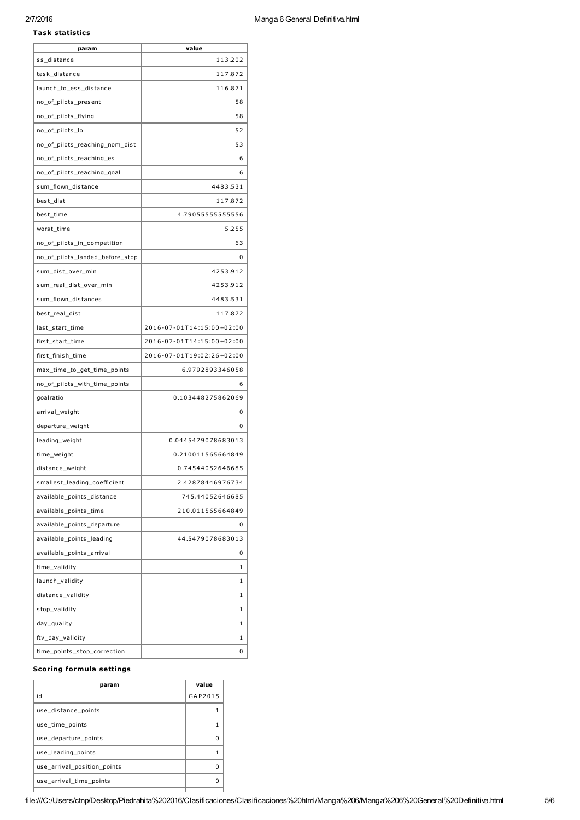## 2/7/2016 Manga 6 General Definitiva.html

#### Task statistics

| param                           | value                     |
|---------------------------------|---------------------------|
| ss_distance                     | 113.202                   |
| task_distance                   | 117.872                   |
| launch_to_ess_distance          | 116.871                   |
| no_of_pilots_present            | 58                        |
| no_of_pilots_flying             | 58                        |
| no_of_pilots_lo                 | 52                        |
| no_of_pilots_reaching_nom_dist  | 53                        |
| no_of_pilots_reaching_es        | 6                         |
| no_of_pilots_reaching_goal      | 6                         |
| sum flown distance              | 4483.531                  |
| best_dist                       | 117.872                   |
| best_time                       | 4.79055555555556          |
| worst_time                      | 5.255                     |
| no_of_pilots_in_competition     | 63                        |
| no_of_pilots_landed_before_stop | 0                         |
| sum_dist_over_min               | 4253.912                  |
| sum_real_dist_over_min          | 4253.912                  |
| sum_flown_distances             | 4483.531                  |
| best_real_dist                  | 117.872                   |
| last_start_time                 | 2016-07-01T14:15:00+02:00 |
| first_start_time                | 2016-07-01T14:15:00+02:00 |
| first_finish_time               | 2016-07-01T19:02:26+02:00 |
| max_time_to_get_time_points     | 6.9792893346058           |
| no_of_pilots_with_time_points   | 6                         |
| goalratio                       | 0.103448275862069         |
| arrival_weight                  | 0                         |
| departure_weight                | 0                         |
| leading_weight                  | 0.0445479078683013        |
| time_weight                     | 0.210011565664849         |
| distance_weight                 | 0.74544052646685          |
| smallest_leading_coefficient    | 2.42878446976734          |
| available_points_distance       | 745.44052646685           |
| available_points_time           | 210.011565664849          |
| available_points_departure      | 0                         |
| available_points_leading        | 44.5479078683013          |
| available_points_arrival        | 0                         |
| time_validity                   | 1                         |
| launch_validity                 | 1                         |
| distance_validity               | 1                         |
| stop_validity                   | 1                         |
| day_quality                     | 1                         |
| ftv_day_validity                | 1                         |
| time_points_stop_correction     | 0                         |

### Scoring formula settings

| param                       | value   |
|-----------------------------|---------|
| id                          | GAP2015 |
| use distance points         |         |
| use time points             |         |
| use departure points        |         |
| use leading points          |         |
| use arrival position points |         |
| use arrival time points     |         |